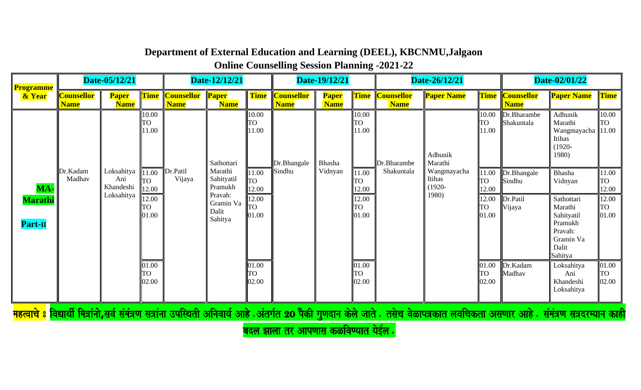**Online Counselling Session Planning -2021-22**

| <b>Programme</b>                        |                                  | Date-05/12/21                                |                                                     |                                      | Date-12/12/21                                                                |                                                            |                                  | Date-19/12/21               |                                                            |                                       | Date-26/12/21                                                                                                                                                                                |                                                            |                                             | Date-02/01/22                                                                                                   |                                                            |
|-----------------------------------------|----------------------------------|----------------------------------------------|-----------------------------------------------------|--------------------------------------|------------------------------------------------------------------------------|------------------------------------------------------------|----------------------------------|-----------------------------|------------------------------------------------------------|---------------------------------------|----------------------------------------------------------------------------------------------------------------------------------------------------------------------------------------------|------------------------------------------------------------|---------------------------------------------|-----------------------------------------------------------------------------------------------------------------|------------------------------------------------------------|
| & Year                                  | <b>Counsellor</b><br><b>Name</b> | <b>Paper</b><br><b>Name</b>                  |                                                     | Time Counsellor Paper<br><b>Name</b> | <b>Name</b>                                                                  | <b>Time</b>                                                | <b>Counsellor</b><br><b>Name</b> | <b>Paper</b><br><b>Name</b> |                                                            | <b>Time Counsellor</b><br><b>Name</b> | <b>Paper Name</b>                                                                                                                                                                            |                                                            | <b>Time Counsellor</b><br><b>Name</b>       | <b>Paper Name</b>                                                                                               | <b>Time</b>                                                |
|                                         |                                  |                                              | 10.00<br><b>TO</b><br>11.00                         |                                      | Sathottari                                                                   | 10.00<br><b>TO</b><br>11.00                                | Dr.Bhangale                      | Bhasha                      | 10.00<br><b>TO</b><br>11.00                                | Dr.Bharambe                           | Adhunik<br>Marathi                                                                                                                                                                           | 10.00<br>TO<br>11.00                                       | Dr.Bharambe<br>Shakuntala                   | Adhunik<br>Marathi<br>Wangmayacha<br>Itihas<br>$(1920 -$<br>1980)                                               | 10.00<br>TO<br>11.00                                       |
| MA-<br><b>Marathi</b><br><b>Part-II</b> | Dr.Kadam<br>Madhav               | Loksahitya<br>Ani<br>Khandeshi<br>Loksahitya | 11.00<br><b>TO</b><br>12.00<br>12.00<br>ГО<br>01.00 | Dr.Patil<br>Vijaya                   | Marathi<br>Sahityatil<br>Pramukh<br>Pravah:<br>Gramin Va<br>Dalit<br>Sahitya | 11.00<br><b>TO</b><br>12.00<br>12.00<br><b>TO</b><br>01.00 | Sindhu                           | Vidnyan                     | 11.00<br><b>TO</b><br>12.00<br>12.00<br><b>TO</b><br>01.00 | Shakuntala                            | Wangmayacha<br>Itihas<br>$(1920 -$<br>1980)                                                                                                                                                  | 11.00<br><b>TO</b><br>12.00<br>12.00<br><b>TO</b><br>01.00 | Dr.Bhangale<br>Sindhu<br>Dr.Patil<br>Vijaya | Bhasha<br>Vidnyan<br>Sathottari<br>Marathi<br>Sahityatil<br>Pramukh<br>Pravah:<br>Gramin Va<br>Dalit<br>Sahitya | 11.00<br><b>TO</b><br>12.00<br>12.00<br><b>TO</b><br>01.00 |
|                                         |                                  |                                              | 01.00<br><b>TO</b><br>02.00                         |                                      |                                                                              | 01.00<br><b>TO</b><br>02.00                                |                                  |                             | 01.00<br><b>TO</b><br>02.00                                |                                       |                                                                                                                                                                                              | 01.00<br><b>TO</b><br>02.00                                | Dr.Kadam<br>Madhav                          | Loksahitya<br>Ani<br>Khandeshi<br>Loksahitya                                                                    | 01.00<br><b>TO</b><br>02.00                                |
|                                         |                                  |                                              |                                                     |                                      |                                                                              |                                                            |                                  |                             |                                                            |                                       | <mark>महत्वाचे 8</mark> विद्यार्थी मित्रांनो,सर्व संमंत्रण सत्रांना उपस्थिती अनिवार्य आहे .अंतर्गत 20 पैकी गुणदान केले जाते . तसेच वेळापत्रकात लवचिकता असणार आहे . संमंत्रण सत्रदरम्यान काही |                                                            |                                             |                                                                                                                 |                                                            |

बदल झाला तर आपणास कळविण्यात येईल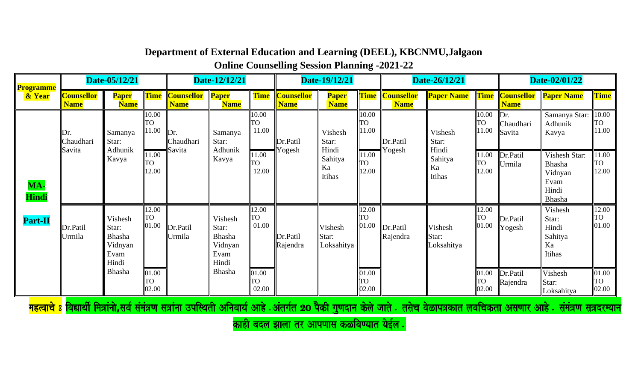**Online Counselling Session Planning -2021-22**

| <b>Programme</b>    |                                  | Date-05/12/21                                                 |                             |                                        | Date-12/12/21                                          |                              |                                  | Date-19/12/21                    |                             |                                       | Date-26/12/21                    |                             |                                       | Date-02/01/22                                                        |                             |
|---------------------|----------------------------------|---------------------------------------------------------------|-----------------------------|----------------------------------------|--------------------------------------------------------|------------------------------|----------------------------------|----------------------------------|-----------------------------|---------------------------------------|----------------------------------|-----------------------------|---------------------------------------|----------------------------------------------------------------------|-----------------------------|
| & Year              | <b>Counsellor</b><br><b>Name</b> | <b>Paper</b><br><b>Name</b>                                   | <b>Time</b>                 | <b>Counsellor Paper</b><br><b>Name</b> | <b>Name</b>                                            | <b>Time</b>                  | <b>Counsellor</b><br><b>Name</b> | <b>Paper</b><br><b>Name</b>      |                             | <b>Time Counsellor</b><br><b>Name</b> | <b>Paper Name</b>                |                             | <b>Time Counsellor</b><br><b>Name</b> | <b>Paper Name</b>                                                    | <b>Time</b>                 |
|                     | $\mathbb{D}$ r<br>Chaudhari      | Samanya<br>Star:                                              | 10.00<br>TO<br>11.00        | Dr.<br>Chaudhari                       | Samanya<br>Star:                                       | 10.00<br><b>ITO</b><br>11.00 | Dr.Patil                         | Vishesh<br>Star:                 | 10.00<br><b>TO</b><br>11.00 | Dr.Patil                              | Vishesh<br>Star:                 | 10.00<br><b>TO</b><br>11.00 | Dr.<br>Chaudhari<br>Savita            | Samanya Star:<br>Adhunik<br>Kavya                                    | 10.00<br><b>TO</b><br>11.00 |
| MA-<br><b>Hindi</b> | Savita                           | Adhunik<br>Kavya                                              | 11.00<br>ГО<br>12.00        | Savita                                 | Adhunik<br>Kavya                                       | 11.00<br><b>TO</b><br>12.00  | Yogesh                           | Hindi<br>Sahitya<br>Ka<br>Itihas | 11.00<br><b>TO</b><br>12.00 | Yogesh                                | Hindi<br>Sahitya<br>Ka<br>Itihas | 11.00<br>TO<br>12.00        | Dr.Patil<br>Urmila                    | Vishesh Star:<br><b>Bhasha</b><br>Vidnyan<br>Evam<br>Hindi<br>Bhasha | 11.00<br>TO<br>12.00        |
| Part-II             | Dr.Patil<br>Urmila               | Vishesh<br>Star:<br><b>Bhasha</b><br>Vidnyan<br>Evam<br>Hindi | 12.00<br><b>TO</b><br>01.00 | Dr.Patil<br>Urmila                     | Vishesh<br>Star:<br>Bhasha<br>Vidnyan<br>Evam<br>Hindi | 12.00<br><b>TO</b><br>01.00  | Dr.Patil<br>Rajendra             | Vishesh<br>Star:<br>Loksahitya   | 12.00<br><b>TO</b><br>01.00 | Dr.Patil<br>Rajendra                  | Vishesh<br>Star:<br>Loksahitya   | 12.00<br>TO<br>01.00        | Dr.Patil<br>Yogesh                    | Vishesh<br>Star:<br>Hindi<br>Sahitya<br>Ka<br>Itihas                 | 12.00<br><b>TO</b><br>01.00 |
|                     |                                  | Bhasha                                                        | 01.00<br><b>TO</b><br>02.00 |                                        | Bhasha                                                 | 01.00<br><b>TO</b><br>02.00  |                                  |                                  | 01.00<br><b>TO</b><br>02.00 |                                       |                                  | 01.00<br>TO<br>02.00        | Dr.Patil<br>Rajendra                  | Vishesh<br>Star:<br>Loksahitya                                       | 01.00<br>TO<br>02.00        |

काही बदल झाला तर आपणास कळविण्यात येईल $\,\mathbf{\cdot}\,$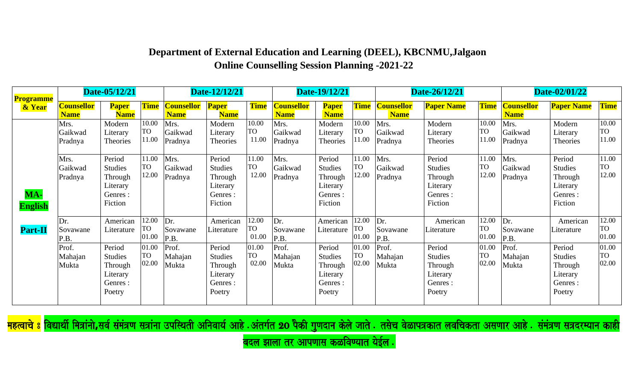| <b>Programme</b>      |                                                      | Date-05/12/21                                                                                   |                                                     |                                                      | Date-12/12/21                                                                                  |                                                            |                                                      | Date-19/12/21                                                                                  |                                                            |                                                      | Date-26/12/21                                                                                   |                                                            |                                                      | Date-02/01/22                                                                                  |                                                            |
|-----------------------|------------------------------------------------------|-------------------------------------------------------------------------------------------------|-----------------------------------------------------|------------------------------------------------------|------------------------------------------------------------------------------------------------|------------------------------------------------------------|------------------------------------------------------|------------------------------------------------------------------------------------------------|------------------------------------------------------------|------------------------------------------------------|-------------------------------------------------------------------------------------------------|------------------------------------------------------------|------------------------------------------------------|------------------------------------------------------------------------------------------------|------------------------------------------------------------|
| & Year                | <b>Counsellor</b><br><b>Name</b>                     | <b>Paper</b><br><b>Name</b>                                                                     | <b>Time</b>                                         | <b>Counsellor</b><br><b>Name</b>                     | <b>Paper</b><br><b>Name</b>                                                                    | <b>Time</b>                                                | <b>Counsellor</b><br><b>Name</b>                     | <b>Paper</b><br><b>Name</b>                                                                    | <b>Time</b>                                                | <b>Counsellor</b><br><b>Name</b>                     | <b>Paper Name</b>                                                                               | <b>Time</b>                                                | <b>Counsellor</b><br><b>Name</b>                     | <b>Paper Name</b>                                                                              | Time                                                       |
|                       | Mrs.<br>Gaikwad<br>Pradnya                           | Modern<br>Literary<br>Theories                                                                  | 10.00<br><b>TO</b><br>11.00                         | Mrs.<br>Gaikwad<br>Pradnya                           | Modern<br>Literary<br><b>Theories</b>                                                          | 10.00<br><b>TO</b><br>11.00                                | Mrs.<br>Gaikwad<br>Pradnya                           | Modern<br>Literary<br>Theories                                                                 | 10.00<br><b>TO</b><br>11.00                                | Mrs.<br>Gaikwad<br>Pradnya                           | Modern<br>Literary<br>Theories                                                                  | 10.00<br><b>TO</b><br>11.00                                | Mrs.<br>Gaikwad<br>Pradnya                           | Modern<br>Literary<br>Theories                                                                 | 10.00<br><b>TO</b><br>11.00                                |
| MA-<br><b>English</b> | Mrs.<br>Gaikwad<br>Pradnya                           | Period<br><b>Studies</b><br>Through<br>Literary<br>Genres :<br>Fiction                          | 11.00<br>TO<br>12.00                                | Mrs.<br>Gaikwad<br>Pradnya                           | Period<br><b>Studies</b><br>Through<br>Literary<br>Genres :<br>Fiction                         | 11.00<br>TO<br>12.00                                       | Mrs.<br>Gaikwad<br>Pradnya                           | Period<br><b>Studies</b><br>Through<br>Literary<br>Genres :<br>Fiction                         | 11.00<br><b>TO</b><br>12.00                                | Mrs.<br>Gaikwad<br>Pradnya                           | Period<br><b>Studies</b><br>Through<br>Literary<br>Genres :<br>Fiction                          | 11.00<br><b>TO</b><br>12.00                                | Mrs.<br>Gaikwad<br>Pradnya                           | Period<br><b>Studies</b><br>Through<br>Literary<br>Genres :<br>Fiction                         | 11.00<br><b>TO</b><br>12.00                                |
| <b>Part-II</b>        | Dr.<br>Sovawane<br>P.B.<br>Prof.<br>Mahajan<br>Mukta | American<br>Literature<br>Period<br><b>Studies</b><br>Through<br>Literary<br>Genres :<br>Poetry | 12.00<br><b>TO</b><br>01.00<br>01.00<br>TO<br>02.00 | Dr.<br>Sovawane<br>P.B.<br>Prof.<br>Mahajan<br>Mukta | American<br>Literature<br>Period<br><b>Studies</b><br>Through<br>Literary<br>Genres:<br>Poetry | 12.00<br><b>TO</b><br>01.00<br>01.00<br><b>TO</b><br>02.00 | Dr.<br>Sovawane<br>P.B.<br>Prof.<br>Mahajan<br>Mukta | American<br>Literature<br>Period<br><b>Studies</b><br>Through<br>Literary<br>Genres:<br>Poetry | 12.00<br><b>TO</b><br>01.00<br>01.00<br><b>TO</b><br>02.00 | Dr.<br>Sovawane<br>P.B.<br>Prof.<br>Mahajan<br>Mukta | American<br>Literature<br>Period<br><b>Studies</b><br>Through<br>Literary<br>Genres :<br>Poetry | 12.00<br><b>TO</b><br>01.00<br>01.00<br><b>TO</b><br>02.00 | Dr.<br>Sovawane<br>P.B.<br>Prof.<br>Mahajan<br>Mukta | American<br>Literature<br>Period<br><b>Studies</b><br>Through<br>Literary<br>Genres:<br>Poetry | 12.00<br><b>TO</b><br>01.00<br>01.00<br><b>TO</b><br>02.00 |

<mark>महत्वाचे 8</mark> विद्यार्थी मित्रांनो,सर्व संमंत्रण सत्रांना उपस्थिती अनिवार्य आहे . अंतर्गत 20 पैकी गुणदान केले जाते . तसेच वेळापत्रकात लवचिकता असणार आहे . संमंत्रण सत्रदरम्यान का

बदल झाला तर आपणास कळविण्यात येईल.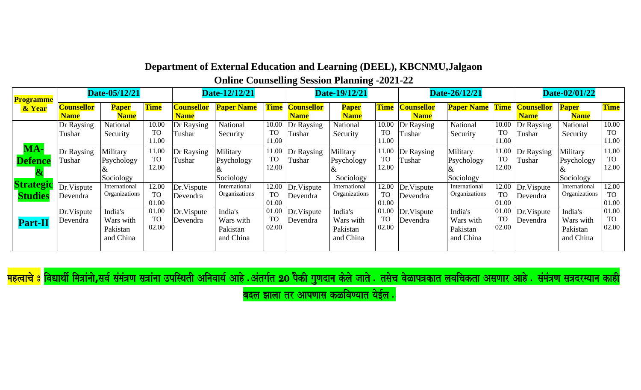**Online Counselling Session Planning -2021-22**

| <b>Programme</b>                   |                                  | Date-05/12/21                                 |                             |                                  | Date-12/12/21                                 |                             |                                  | Date-19/12/21                                 |                             |                                  | Date-26/12/21                                 |                             |                                  | Date-02/01/22                                 |                             |
|------------------------------------|----------------------------------|-----------------------------------------------|-----------------------------|----------------------------------|-----------------------------------------------|-----------------------------|----------------------------------|-----------------------------------------------|-----------------------------|----------------------------------|-----------------------------------------------|-----------------------------|----------------------------------|-----------------------------------------------|-----------------------------|
| & Year                             | <b>Counsellor</b><br><b>Name</b> | <b>Paper</b><br><b>Name</b>                   | <b>Time</b>                 | <b>Counsellor</b><br><b>Name</b> | <b>Paper Name</b>                             | <b>Time</b>                 | <b>Counsellor</b><br><b>Name</b> | <b>Paper</b><br><b>Name</b>                   | <b>Time</b>                 | <b>Counsellor</b><br><b>Name</b> | <b>Paper Name</b> Time                        |                             | <b>Counsellor</b><br><b>Name</b> | <b>Paper</b><br><b>Name</b>                   | <b>Time</b>                 |
|                                    | Dr Raysing<br>Tushar             | National<br>Security                          | 10.00<br><b>TO</b><br>11.00 | Dr Raysing<br>Tushar             | <b>National</b><br>Security                   | 10.00<br><b>TO</b><br>11.00 | Dr Raysing<br>Tushar             | <b>National</b><br>Security                   | 10.00<br><b>TO</b><br>11.00 | Dr Raysing<br>Tushar             | National<br>Security                          | 10.00<br><b>TO</b><br>11.00 | Dr Raysing<br>Tushar             | National<br>Security                          | 10.00<br><b>TO</b><br>11.00 |
| MA-<br><b>Defence</b>              | Dr Raysing<br>Tushar             | Military<br>Psychology<br>Sociology           | 11.00<br><b>TO</b><br>12.00 | Dr Raysing<br>Tushar             | Military<br>Psychology<br>Sociology           | 11.00<br><b>TO</b><br>12.00 | Dr Raysing<br>Tushar             | Military<br>Psychology<br>Sociology           | 11.00<br><b>TO</b><br>12.00 | Dr Raysing<br>Tushar             | Military<br>Psychology<br>Sociology           | 11.00<br><b>TO</b><br>12.00 | Dr Raysing<br>Tushar             | Military<br>Psychology<br>Sociology           | 11.00<br><b>TO</b><br>12.00 |
| <b>Strategic</b><br><b>Studies</b> | Dr.Vispute<br>Devendra           | International<br>Organizations                | 12.00<br><b>TO</b><br>01.00 | Dr.Vispute<br>Devendra           | International<br>Organizations                | 12.00<br><b>TO</b><br>01.00 | Dr.Vispute<br>Devendra           | International<br>Organizations                | 12.00<br><b>TO</b><br>01.00 | Dr. Vispute<br>Devendra          | International<br>Organizations                | 12.00<br><b>TO</b><br>01.00 | Dr.Vispute<br>Devendra           | International<br>Organizations                | 12.00<br><b>TO</b><br>01.00 |
| <b>Part-II</b>                     | Dr.Vispute<br>Devendra           | India's<br>Wars with<br>Pakistan<br>and China | 01.00<br><b>TO</b><br>02.00 | Dr.Vispute<br>Devendra           | India's<br>Wars with<br>Pakistan<br>and China | 01.00<br><b>TO</b><br>02.00 | Dr.Vispute<br>Devendra           | India's<br>Wars with<br>Pakistan<br>and China | 01.00<br><b>TO</b><br>02.00 | Dr. Vispute<br>Devendra          | India's<br>Wars with<br>Pakistan<br>and China | 01.00<br><b>TO</b><br>02.00 | Dr.Vispute<br>Devendra           | India's<br>Wars with<br>Pakistan<br>and China | 01.00<br><b>TO</b><br>02.00 |

<mark>महत्वाचे 8</mark> विद्यार्थी मित्रांनो,सर्व संमंत्रण सत्रांना उपस्थिती अनिवार्य आहे . अंतर्गत कले आते . तसेच वेळापत्रकात लवचिकता असणार आहे . संमंत्रण सत्रदरम्यान काही

बदल झाला तर आपणास कळविण्यात येईल $|.\rangle$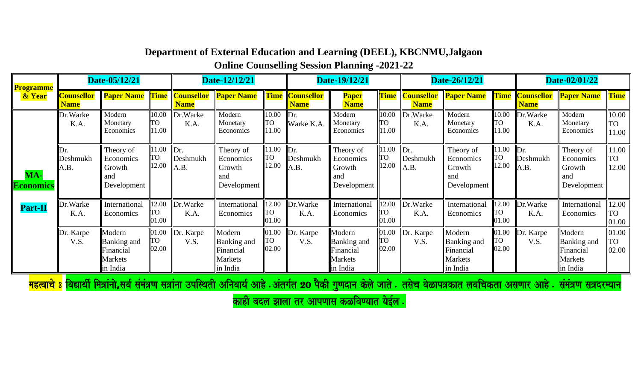**Online Counselling Session Planning -2021-22**

| <b>Programme</b>        |                                  | Date-05/12/21                                             |                             |                         | Date-12/12/21                                                    |                             |                                       | Date-19/12/21                                                    |                             |                                       | Date-26/12/21                                                           |                             |                                       | Date-02/01/22                                                    |                             |
|-------------------------|----------------------------------|-----------------------------------------------------------|-----------------------------|-------------------------|------------------------------------------------------------------|-----------------------------|---------------------------------------|------------------------------------------------------------------|-----------------------------|---------------------------------------|-------------------------------------------------------------------------|-----------------------------|---------------------------------------|------------------------------------------------------------------|-----------------------------|
| & Year                  | <b>Counsellor</b><br><b>Name</b> | <b>Paper Name Time Counsellor Paper Name</b>              |                             | <b>Name</b>             |                                                                  |                             | <b>Time Counsellor</b><br><b>Name</b> | <b>Paper</b><br><b>Name</b>                                      |                             | <b>Time Counsellor</b><br><b>Name</b> | <b>Paper Name</b>                                                       |                             | <b>Time Counsellor</b><br><b>Name</b> | <b>Paper Name</b>                                                | <b>Time</b>                 |
|                         | Dr.Warke<br>K.A.                 | Modern<br>Monetary<br>Economics                           | 10.00<br>lto.<br>11.00      | Dr.Warke<br>K.A.        | Modern<br>Monetary<br>Economics                                  | 10.00<br><b>TO</b><br>11.00 | Dr.<br>Warke K.A.                     | Modern<br>Monetary<br>Economics                                  | 10.00<br><b>TO</b><br>11.00 | Dr.Warke<br>K.A.                      | Modern<br>Monetary<br>Economics                                         | 10.00<br><b>TO</b><br>11.00 | Dr.Warke<br>K.A.                      | Modern<br>Monetary<br>Economics                                  | 10.00<br><b>TO</b><br>11.00 |
| MA-<br><b>Economics</b> | Dr.<br>Deshmukh<br>A.B.          | Theory of<br>Economics<br>Growth<br>and<br>Development    | 11.00<br><b>TO</b><br>12.00 | Dr.<br>Deshmukh<br>A.B. | Theory of<br>Economics<br>Growth<br>and<br>Development           | 11.00<br><b>TO</b><br>12.00 | Dr.<br>Deshmukh<br>A.B.               | Theory of<br>Economics<br>Growth<br>and<br>Development           | 11.00<br>TO<br>12.00        | $\mathbf{D}$ r.<br>Deshmukh<br>A.B.   | Theory of<br>Economics<br>Growth<br>and<br>Development                  | 11.00<br><b>TO</b><br>12.00 | Dr.<br>Deshmukh<br>A.B.               | Theory of<br>Economics<br>Growth<br>and<br>Development           | 11.00<br><b>TO</b><br>12.00 |
| <b>Part-II</b>          | Dr.Warke<br>K.A.                 | International<br>Economics                                | 12.00<br><b>TO</b><br>01.00 | Dr.Warke<br>K.A.        | International<br>Economics                                       | 12.00<br><b>TO</b><br>01.00 | Dr.Warke<br>K.A.                      | International<br>Economics                                       | 12.00<br>ГО<br>01.00        | Dr.Warke<br>K.A.                      | International<br>Economics                                              | 12.00<br><b>TO</b><br>01.00 | Dr. Warke<br>K.A.                     | International<br>Economics                                       | 12.00<br><b>TO</b><br>01.00 |
|                         | Dr. Karpe<br>V.S.                | Modern<br>Banking and<br>Financial<br>Markets<br>in India | 01.00<br><b>TO</b><br>02.00 | Dr. Karpe<br>V.S.       | Modern<br><b>Banking and</b><br>Financial<br>Markets<br>in India | 01.00<br><b>TO</b><br>02.00 | . Karpe<br>Dr.<br>V.S.                | Modern<br><b>Banking and</b><br>Financial<br>Markets<br>in India | 01.00<br>TO<br>02.00        | Dr. Karpe<br>V.S.                     | Modern<br><b>Banking</b> and<br>Financial<br><b>Markets</b><br>in India | 01.00<br><b>TO</b><br>02.00 | Dr. Karpe<br>V.S.                     | Modern<br><b>Banking and</b><br>Financial<br>Markets<br>in India | 01.00<br><b>TO</b><br>02.00 |

<mark>महत्वाचे 8 विद्यार्थी मित्रांनो,सर्व संमंत्रण सत्रांना उपस्थिती अनिवार्य आहे . अंतर्गत 20 पैकी गुणदान केले जाते . तसेच वेळापत्रकात लवचिकता असणार आहे . संमंत्रण सत्रदरम्यान</mark>

काही बदल झाला तर आपणास कळविण्यात येईल .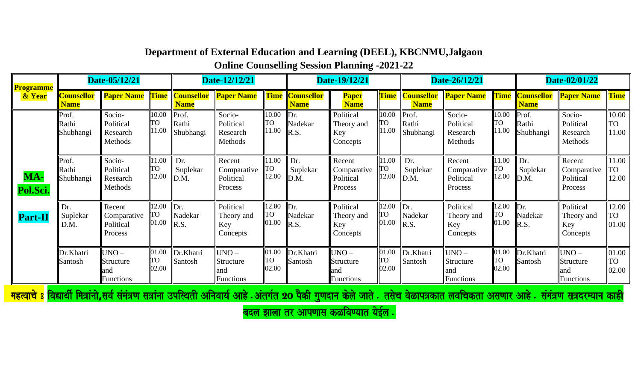**Online Counselling Session Planning -2021-22**

| <b>Programme</b> |                                  | Date-05/12/21                                 |                             |                             | Date-12/12/21                                   |                             |                                  | Date-19/12/21                                 |                      |                                       | Date-26/12/21                                   |                             |                                       | Date-02/01/22                                     |                             |
|------------------|----------------------------------|-----------------------------------------------|-----------------------------|-----------------------------|-------------------------------------------------|-----------------------------|----------------------------------|-----------------------------------------------|----------------------|---------------------------------------|-------------------------------------------------|-----------------------------|---------------------------------------|---------------------------------------------------|-----------------------------|
| & Year           | <b>Counsellor</b><br><b>Name</b> | <b>Paper Name Time Counsellor Paper Name</b>  |                             | <b>Name</b>                 |                                                 | <b>Time</b>                 | <b>Counsellor</b><br><b>Name</b> | <b>Paper</b><br><b>Name</b>                   |                      | <b>Time Counsellor</b><br><b>Name</b> | <b>Paper Name</b>                               |                             | <b>Time Counsellor</b><br><b>Name</b> | <b>Paper Name</b>                                 | <b>Time</b>                 |
|                  | Prof.<br>Rathi<br>Shubhangi      | Socio-<br>Political<br>Research<br>Methods    | 10.00<br>ITO<br>11.00       | Prof.<br>Rathi<br>Shubhangi | Socio-<br>Political<br>Research<br>Methods      | 10.00<br><b>TO</b><br>11.00 | Dr.<br>Nadekar<br>R.S.           | Political<br>Theory and<br>Key<br>Concepts    | 10.00<br>TO<br>11.00 | Prof.<br>Rathi<br>Shubhangi           | Socio-<br>Political<br>Research<br>Methods      | 10.00<br><b>TO</b><br>11.00 | Prof.<br>Rathi<br>Shubhangi           | Socio-<br>Political<br>Research<br>Methods        | 10.00<br><b>TO</b><br>11.00 |
| MA-<br>Pol.Sci.  | Prof.<br>Rathi<br>Shubhangi      | Socio-<br>Political<br>Research<br>Methods    | 11.00<br><b>TO</b><br>12.00 | Dr.<br>Suplekar<br>D.M.     | Recent<br>Comparative<br>Political<br>Process   | 11.00<br><b>TO</b><br>12.00 | Dr.<br>Suplekar<br>D.M.          | Recent<br>Comparative<br>Political<br>Process | 11.00<br>ΓО<br>12.00 | Dr.<br>Suplekar<br>D.M.               | Recent<br>Comparative<br>Political<br>Process   | 11.00<br>TO<br>12.00        | Dr.<br>Suplekar<br>D.M.               | Recent<br>Comparative<br>Political<br>Process     | 11.00<br><b>TO</b><br>12.00 |
| <b>Part-II</b>   | Dr.<br>Suplekar<br>D.M.          | Recent<br>Comparative<br>Political<br>Process | 12.00<br><b>TO</b><br>01.00 | Dr.<br>Nadekar<br>R.S.      | Political<br>Theory and<br>Key<br>Concepts      | 12.00<br><b>TO</b><br>01.00 | Dr.<br>Nadekar<br>R.S.           | Political<br>Theory and<br>Key<br>Concepts    | 12.00<br>TO<br>01.00 | $\mathbb{D}$ r.<br>Nadekar<br>R.S.    | Political<br>Theory and<br>Key<br>Concepts      | 12.00<br>TO<br>01.00        | $\mathbb{D}$ r.<br>Nadekar<br>R.S.    | Political<br>Theory and<br>Key<br>Concepts        | 12.00<br><b>TO</b><br>01.00 |
|                  | Dr.Khatri<br>Santosh             | $UNO -$<br>Structure<br>and<br>Functions      | 01.00<br><b>TO</b><br>02.00 | Dr.Khatri<br>Santosh        | $UNO -$<br>Structure<br>and<br><b>Functions</b> | 01.00<br><b>TO</b><br>02.00 | Dr.Khatri<br>Santosh             | $UNO -$<br>Structure<br>and<br>Functions      | 01.00<br>ГO<br>02.00 | Dr.Khatri<br>Santosh                  | $UNO -$<br>Structure<br>and<br><b>Functions</b> | 01.00<br><b>TO</b><br>02.00 | Dr.Khatri<br>Santosh                  | $UNO -$<br>Structure<br>lland<br><b>Functions</b> | 01.00<br><b>TO</b><br>02.00 |

<mark>महत्वाचे 8</mark> विद्यार्थी मित्रांनो,सर्व संमंत्रण सत्रांना उपस्थिती अनिवार्य आहे . अंतर्गत येले आते . तसेच वेळापत्रकात लवचिकता असणार आहे . संमंत्रण सत्रदरम्यान कार्ह

बदल झाला तर आपणास कळविण्यात येईल .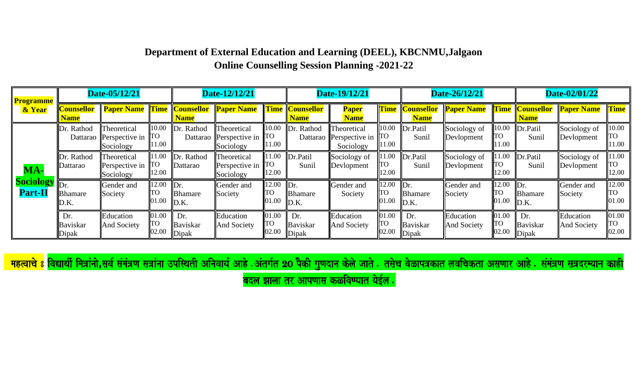| <b>Programme</b>                       |                                  | Date-05/12/21                                       |                             |                                           | Date-12/12/21                                       |                              |                                       | Date-19/12/21                                       |                             |                                           | Date-26/12/21                   |                             |                                       | Date-02/01/22              |                              |
|----------------------------------------|----------------------------------|-----------------------------------------------------|-----------------------------|-------------------------------------------|-----------------------------------------------------|------------------------------|---------------------------------------|-----------------------------------------------------|-----------------------------|-------------------------------------------|---------------------------------|-----------------------------|---------------------------------------|----------------------------|------------------------------|
| & Year                                 | <b>Counsellor</b><br><b>Name</b> | <b>Paper Name Time Counsellor Paper Name</b>        |                             | <b>Name</b>                               |                                                     |                              | <b>Time Counsellor</b><br><b>Name</b> | <b>Paper</b><br><b>Name</b>                         |                             | <b>Time Counsellor</b><br><b>Name</b>     | <b>Paper Name</b>               |                             | <b>Time Counsellor</b><br><b>Name</b> | <b>Paper Name</b>          | <b>Time</b>                  |
|                                        | Dr. Rathod                       | Theoretical<br>Dattarao Perspective in<br>Sociology | 10.00<br>ITO<br>1.00        | Dr. Rathod                                | Theoretical<br>Dattarao Perspective in<br>Sociology | 10.00<br><b>TO</b><br>11.00  | Dr. Rathod                            | Theoretical<br>Dattarao Perspective in<br>Sociology | 10.00<br>ГO<br>11.00        | Dr.Patil<br>Sunil                         | Sociology of<br>Devlopment      | 10.00<br><b>TO</b><br>11.00 | Dr.Patil<br>Sunil                     | Sociology of<br>Devlopment | 10.00<br><b>ITO</b><br>11.00 |
| MA-                                    | Dr. Rathod<br>Dattarao           | Theoretical<br>Perspective in<br>Sociology          | 1.00<br><b>TO</b><br>12.00  | Dr. Rathod<br>Dattarao                    | Theoretical<br>Perspective in<br>Sociology          | 11.00<br><b>TO</b><br>12.00  | Dr.Patil<br>Sunil                     | Sociology of<br>Devlopment                          | 11.00<br><b>TO</b><br>12.00 | Dr.Patil<br>Sunil                         | Sociology of<br>Devlopment      | 11.00<br><b>TO</b><br>12.00 | Dr.Patil<br>Sunil                     | Sociology of<br>Devlopment | 11.00<br><b>ITO</b><br>12.00 |
| <b>Sociology</b> Dr.<br><b>Part-II</b> | <b>Bhamare</b><br>D.K.           | Gender and<br>Society                               | 12.00<br>ITO<br>01.00       | $\mathbb{D}$ r.<br><b>Bhamare</b><br>D.K. | Gender and<br>Society                               | 12.00<br><b>ITO</b><br>01.00 | Dr.<br><b>Bhamare</b><br>D.K.         | Gender and<br>Society                               | 12.00<br>TO<br>01.00        | $\mathbb{D}$ r.<br><b>Bhamare</b><br>D.K. | Gender and<br>Society           | 12.00<br><b>TO</b><br>01.00 | Dr.<br><b>Bhamare</b><br>D.K.         | Gender and<br>Society      | 12.00<br><b>TO</b><br>01.00  |
|                                        | Dr.<br>Baviskar<br>Dipak         | Education<br><b>And Society</b>                     | 01.00<br><b>TO</b><br>02.00 | Dr.<br>Baviskar<br>Dipak                  | Education<br>And Society                            | 01.00<br><b>TO</b><br>02.00  | Dr.<br>Baviskar<br>Dipak              | Education<br>And Society                            | 01.00<br>TO<br>02.00        | Dr.<br>Baviskar<br>Dipak                  | Education<br><b>And Society</b> | 01.00<br><b>TO</b><br>02.00 | Dr.<br>Baviskar<br>Dipak              | Education<br>And Society   | 01.00<br><b>ITO</b><br>02.00 |

<mark>महत्वाचे 8</mark> विद्यार्थी मित्रांनो,सर्व संमंत्रण सत्रांना उपस्थिती अनिवार्य आहे . अंतर्गत येले आते असे के संत्र अकल असे असे असे असे असे असे संसंत्रण सत्रदरम्यान काई

बदल झाला तर आपणास कळविण्यात येईल .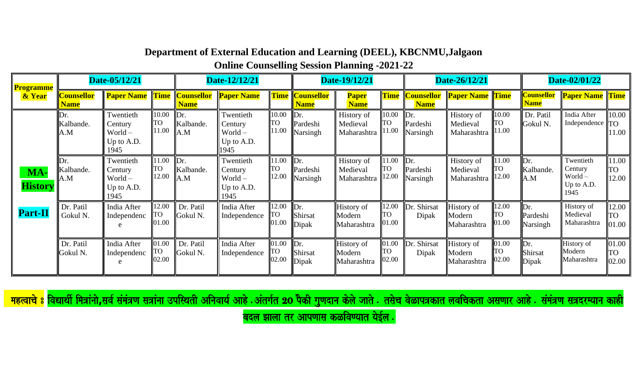**Online Counselling Session Planning -2021-22**

| <b>Programme</b>      |                                  | Date-05/12/21                                           |                             |                                     | Date-12/12/21                                           |                             |                                         | Date-19/12/21                         |                             |                                         | Date-26/12/21                         |                             |                                  | Date-02/01/22                                           |                             |
|-----------------------|----------------------------------|---------------------------------------------------------|-----------------------------|-------------------------------------|---------------------------------------------------------|-----------------------------|-----------------------------------------|---------------------------------------|-----------------------------|-----------------------------------------|---------------------------------------|-----------------------------|----------------------------------|---------------------------------------------------------|-----------------------------|
| & Year                | <b>Counsellor</b><br><b>Name</b> | <b>Paper Name</b>                                       | <b>Time</b>                 | <b>Counsellor</b><br><b>Name</b>    | <b>Paper Name</b>                                       | <b>Time</b>                 | <b>Counsellor</b><br><b>Name</b>        | <b>Paper</b><br><b>Name</b>           | <b>Time</b>                 | <b>Counsellor</b><br><b>Name</b>        | <b>Paper Name</b> Time                |                             | <b>Counsellor</b><br><b>Name</b> | <b>Paper Name</b> Time                                  |                             |
|                       | Dr.<br>Kalbande.<br>A.M          | Twentieth<br>Century<br>$World -$<br>Up to A.D.<br>1945 | 10.00<br><b>TO</b><br>11.00 | $\mathbb{D}$ r.<br>Kalbande.<br>A.M | Twentieth<br>Century<br>$World -$<br>Up to A.D.<br>1945 | 10.00<br><b>TO</b><br>11.00 | $\mathbb{D}$ r.<br>Pardeshi<br>Narsingh | History of<br>Medieval<br>Maharashtra | 10.00<br><b>TO</b><br>11.00 | $\mathbf{D}$ r.<br>Pardeshi<br>Narsingh | History of<br>Medieval<br>Maharashtra | 10.00<br><b>TO</b><br>11.00 | Dr. Patil<br>Gokul N.            | India After<br>Independence $\ $ TO                     | 10.00<br>11.00              |
| MA-<br><b>History</b> | IDr.<br>Kalbande.<br>A.M         | Twentieth<br>Century<br>$World -$<br>Up to A.D.<br>1945 | 11.00<br><b>TO</b><br>12.00 | $\mathbf{D}$ r.<br>Kalbande.<br>A.M | Twentieth<br>Century<br>World-<br>Up to A.D.<br>1945    | 11.00<br><b>TO</b><br>12.00 | $\mathbf{D}$ r.<br>Pardeshi<br>Narsingh | History of<br>Medieval<br>Maharashtra | 11.00<br><b>TO</b><br>12.00 | $\mathbb{D}$ r.<br>Pardeshi<br>Narsingh | History of<br>Medieval<br>Maharashtra | 11.00<br><b>TO</b><br>12.00 | Dr.<br>Kalbande.<br>A.M          | Twentieth<br>Century<br>$World -$<br>Up to A.D.<br>1945 | 11.00<br>TO<br>12.00        |
| <b>Part-II</b>        | Dr. Patil<br>Gokul N.            | India After<br>Independenc                              | 12.00<br><b>TO</b><br>01.00 | Dr. Patil<br>Gokul N.               | India After<br>Independence                             | 12.00<br><b>TO</b><br>01.00 | $\mathbf{D}$ r.<br>Shirsat<br>Dipak     | History of<br>Modern<br>Maharashtra   | 12.00<br><b>TO</b><br>01.00 | Dr. Shirsat<br>Dipak                    | History of<br>Modern<br>Maharashtra   | 12.00<br><b>TO</b><br>01.00 | Dr.<br>Pardeshi<br>Narsingh      | History of<br>Medieval<br>Maharashtra                   | 12.00<br>TO<br>01.00        |
|                       | Dr. Patil<br>Gokul N.            | India After<br>Independenc                              | 01.00<br><b>TO</b><br>02.00 | Dr. Patil<br>Gokul N.               | India After<br>Independence                             | 01.00<br><b>TO</b><br>02.00 | Dr.<br>Shirsat<br>Dipak                 | History of<br>Modern<br>Maharashtra   | 01.00<br>TO<br>02.00        | Dr. Shirsat<br>Dipak                    | History of<br>Modern<br>Maharashtra   | 01.00<br><b>TO</b><br>02.00 | Dr.<br><b>Shirsat</b><br>Dipak   | History of<br>Modern<br>Maharashtra                     | 01.00<br><b>TO</b><br>02.00 |

<mark>महत्वाचे 8</mark> विद्यार्थी मित्रांनो,सर्व संमंत्रण सत्रांना उपस्थिती अनिवार्य आहे . अंतर्गत येले आते असे के अतिका असे असे असे असे असे असे संसंत्रण सत्रदरम्यान काई<br>सहत्वाचे 8 विद्यार्थी मित्रांनो,सर्व संमंत्रण सत्रांना उपस्थि बदल झाला तर आपणास कळविण्यात येईल $\, . \,$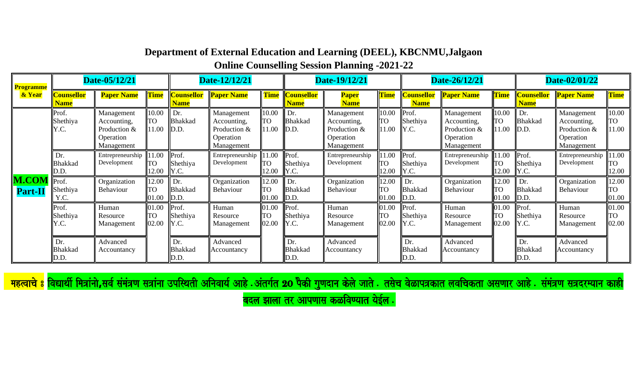**Online Counselling Session Planning -2021-22**

| <b>Programme</b>               |                               | Date-05/12/21                                                        |                             |                                           | Date-12/12/21                                                        |                             |                                                | Date-19/12/21                                                        |                             |                                  | Date-26/12/21                                                        |                              |                                  | Date-02/01/22                                                        |                             |
|--------------------------------|-------------------------------|----------------------------------------------------------------------|-----------------------------|-------------------------------------------|----------------------------------------------------------------------|-----------------------------|------------------------------------------------|----------------------------------------------------------------------|-----------------------------|----------------------------------|----------------------------------------------------------------------|------------------------------|----------------------------------|----------------------------------------------------------------------|-----------------------------|
| & Year                         | Counsellor<br><b>Name</b>     | <b>Paper Name</b>                                                    | Time                        | <b>Counsellor</b><br><b>Name</b>          | <b>Paper Name</b>                                                    | <b>Time</b>                 | <b>Counsellor</b><br><b>Name</b>               | <b>Paper</b><br><b>Name</b>                                          | <b>Time</b>                 | <b>Counsellor</b><br><b>Name</b> | <b>Paper Name</b>                                                    | <b>Time</b>                  | <b>Counsellor</b><br><b>Name</b> | <b>Paper Name</b>                                                    | Time                        |
|                                | Prof.<br>Shethiya<br>Y.C.     | Management<br>Accounting,<br>Production &<br>Operation<br>Management | 10.00<br>TO<br>11.00        | Dr.<br><b>Bhakkad</b><br>D.D.             | Management<br>Accounting,<br>Production &<br>Operation<br>Management | 10.00<br>TO<br>11.00        | $\mathbf{D}$ r.<br>Bhakkad<br>$\mathbb{D}$ .D. | Management<br>Accounting,<br>Production &<br>Operation<br>Management | 10.00<br><b>TO</b><br>11.00 | Prof.<br>Shethiya<br>Y.C.        | Management<br>Accounting,<br>Production &<br>Operation<br>Management | 10.00<br>TO<br>11.00         | Dr.<br><b>Bhakkad</b><br>D.D.    | Management<br>Accounting,<br>Production &<br>Operation<br>Management | 10.00<br>TO<br>11.00        |
|                                | Dr.<br><b>Bhakkad</b><br>D.D. | Entrepreneurship<br>Development                                      | 11.00<br>TO<br>12.00        | Prof.<br>Shethiya<br>Y.C.                 | Entrepreneurship $\parallel$<br>Development                          | 11.00<br>TO<br>12.00        | Prof.<br>Shethiya<br>Y.C.                      | Entrepreneurship<br>Development                                      | 11.00<br><b>TO</b><br>12.00 | Prof.<br>Shethiya<br>Y.C.        | Entrepreneurship<br>Development                                      | 11.00<br><b>TO</b><br>12.00  | Prof.<br>Shethiya<br>Y.C.        | Entrepreneurship<br>Development                                      | 11.00<br><b>TO</b><br>12.00 |
| <b>M.CON</b><br><b>Part-II</b> | Prof.<br>Shethiya<br>Y.C.     | Organization<br>Behaviour                                            | 12.00<br><b>TO</b><br>01.00 | Dr.<br><b>Bhakkad</b><br>$\mathbb{D}$ .D. | Organization<br>Behaviour                                            | 12.00<br><b>TO</b><br>01.00 | $\mathbf{D}$ r.<br>Bhakkad<br>$\mathbb{D}$ .D. | Organization<br>Behaviour                                            | 12.00<br><b>TO</b><br>01.00 | Dr.<br><b>Bhakkad</b><br>D.D.    | Organization<br>Behaviour                                            | 12.00<br><b>ITO</b><br>01.00 | Dr.<br><b>Bhakkad</b><br>D.D.    | Organization<br>Behaviour                                            | 12.00<br>TΩ<br>01.00        |
|                                | Prof.<br>Shethiya<br>Y.C.     | Human<br>Resource<br>Management                                      | 01.00<br><b>TO</b><br>02.00 | Prof.<br>Shethiya<br>Y.C.                 | Human<br>Resource<br>Management                                      | 01.00<br><b>TO</b><br>02.00 | Prof.<br>Shethiya<br>Y.C.                      | Human<br>Resource<br>Management                                      | 01.00<br><b>TO</b><br>02.00 | Prof.<br>Shethiya<br>Y.C.        | Human<br>Resource<br>Management                                      | 01.00<br><b>ITO</b><br>02.00 | Prof.<br>Shethiya<br>Y.C.        | Human<br>Resource<br>Management                                      | 01.00<br><b>TO</b><br>02.00 |
|                                | Dr.<br><b>Bhakkad</b><br>D.D. | Advanced<br>Accountancy                                              |                             | Dr.<br><b>Bhakkad</b><br>D.D.             | Advanced<br>Accountancy                                              |                             | Dr.<br><b>Bhakkad</b><br>D.D.                  | Advanced<br>Accountancy                                              |                             | Dr.<br><b>Bhakkad</b><br>D.D.    | Advanced<br>Accountancy                                              |                              | Dr.<br><b>Bhakkad</b><br>D.D.    | Advanced<br>Accountancy                                              |                             |

<mark>महत्वाचे 8</mark> विद्यार्थी मित्रांनो,सर्व संमंत्रण सत्रांना उपस्थिती अनिवार्य आहे .अंतर्गत 20 पैकी गुणदान केले जाते . तसेच वेळापत्रकात लवचिकता असणार आहे . संमंत्रण सत्रदरम्यान काही

बदल झाला तर आपणास कळविण्यात येईल $\, .$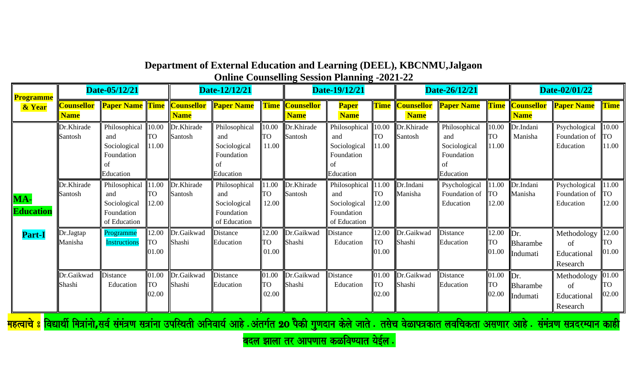| Department of External Education and Learning (DEEL), KBCNMU, Jalgaon |
|-----------------------------------------------------------------------|
| <b>Online Counselling Session Planning -2021-22</b>                   |

| <b>Programme</b>        |                                  | Date-05/12/21                                                               |                             |                                  | Date-12/12/21                                                         |                             | $\mathbf{\sigma}$                     | $\mathbf{\sigma}$<br>Date-19/12/21                                          |                             |                                       | Date-26/12/21                                                   |                             |                                         | Date-02/01/22                                |                              |
|-------------------------|----------------------------------|-----------------------------------------------------------------------------|-----------------------------|----------------------------------|-----------------------------------------------------------------------|-----------------------------|---------------------------------------|-----------------------------------------------------------------------------|-----------------------------|---------------------------------------|-----------------------------------------------------------------|-----------------------------|-----------------------------------------|----------------------------------------------|------------------------------|
| & Year                  | <b>Counsellor</b><br><b>Name</b> | <b>Paper Name Time</b>                                                      |                             | <b>Counsellor</b><br><b>Name</b> | <b>Paper Name</b>                                                     |                             | <b>Time Counsellor</b><br><b>Name</b> | <b>Paper</b><br><b>Name</b>                                                 |                             | <b>Time Counsellor</b><br><b>Name</b> | <b>Paper Name</b>                                               |                             | <b>Time Counsellor</b><br><b>Name</b>   | <b>Paper Name</b>                            | <b>Time</b>                  |
|                         | Dr.Khirade<br>Santosh            | Philosophical 10.00<br>and<br>Sociological<br>Foundation<br>Ωt<br>Education | <b>TO</b><br>11.00          | Dr.Khirade<br>Santosh            | Philosophical<br>and<br>Sociological<br>Foundation<br>οť<br>Education | 10.00<br><b>TO</b><br>11.00 | Dr.Khirade<br>Santosh                 | Philosophical 10.00<br>and<br>Sociological<br>Foundation<br>οť<br>Education | <b>TO</b><br>11.00          | Dr.Khirade<br>Santosh                 | Philosophical<br>and<br>Sociological<br>Foundation<br>Education | 10.00<br><b>TO</b><br>11.00 | Dr.Indani<br>Manisha                    | Psychological<br>Foundation of<br>Education  | 10.00<br><b>ITO</b><br>11.00 |
| MA-<br><b>Education</b> | Dr.Khirade<br>Santosh            | Philosophical<br>and<br>Sociological<br>Foundation<br>of Education          | 11.00<br><b>TO</b><br>12.00 | Dr.Khirade<br>Santosh            | Philosophical<br>and<br>Sociological<br>Foundation<br>of Education    | 11.00<br><b>TO</b><br>12.00 | Dr.Khirade<br>Santosh                 | Philosophical<br>and<br>Sociological<br>Foundation<br>of Education          | 11.00<br><b>TO</b><br>12.00 | Dr.Indani<br>Manisha                  | Psychological<br>Foundation of<br>Education                     | 11.00<br><b>TO</b><br>12.00 | Dr.Indani<br>Manisha                    | Psychological<br>Foundation of<br>Education  | 11.00<br><b>TO</b><br>12.00  |
| <b>Part-I</b>           | Dr.Jagtap<br>Manisha             | Programme<br><b>Instructions</b>                                            | 12.00<br><b>TO</b><br>01.00 | Dr.Gaikwad<br>Shashi             | Distance<br>Education                                                 | 12.00<br><b>TO</b><br>01.00 | Dr.Gaikwad<br>Shashi                  | Distance<br>Education                                                       | 12.00<br><b>TO</b><br>01.00 | Dr.Gaikwad<br>Shashi                  | Distance<br>Education                                           | 12.00<br><b>TO</b><br>01.00 | $\mathbb{D}r$ .<br>Bharambe<br>Indumati | Methodology<br>of<br>Educational<br>Research | 12.00<br>ITO<br>01.00        |
|                         | Dr.Gaikwad<br>Shashi             | Distance<br>Education                                                       | 01.00<br><b>TO</b><br>02.00 | Dr.Gaikwad<br>Shashi             | Distance<br>Education                                                 | 01.00<br><b>TO</b><br>02.00 | Dr.Gaikwad<br>Shashi                  | Distance<br>Education                                                       | 01.00<br><b>TO</b><br>02.00 | Dr.Gaikwad<br>Shashi                  | Distance<br>Education                                           | 01.00<br><b>TO</b><br>02.00 | $\mathbf{D}$ r.<br>Bharambe<br>Indumati | Methodology<br>of<br>Educational<br>Research | 01.00<br>ITO.<br>02.00       |

<mark>महत्वाचे 8</mark> विद्यार्थी मित्रांनो,सर्व संमंत्रण सत्रांना उपस्थिती अनिवार्य आहे .औकी अजबान केले जाते . तसेच वेळापत्रकात लवचिकता असणार आहे . संमंत्रण सत्रदरम्यान काही

बदल झाला तर आपणास कळविण्यात येईल $|.\>$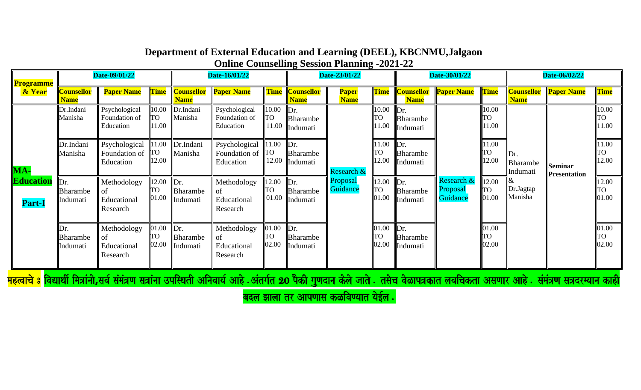| <b>Programme</b>           |                                                | Date-09/01/22                                       |                             |                                         | Date-16/01/22                                                                                                                                                      |                             |                                         | Date-23/01/22               |                      |                                         | Date-30/01/22                         |                             |                                   | Date-06/02/22                         |                              |
|----------------------------|------------------------------------------------|-----------------------------------------------------|-----------------------------|-----------------------------------------|--------------------------------------------------------------------------------------------------------------------------------------------------------------------|-----------------------------|-----------------------------------------|-----------------------------|----------------------|-----------------------------------------|---------------------------------------|-----------------------------|-----------------------------------|---------------------------------------|------------------------------|
| & Year                     | <mark>Counsellor</mark><br><b>Name</b>         | <b>Paper Name</b>                                   | <b>Time</b>                 | <b>Counsellor</b><br><b>Name</b>        | <b>Paper Name</b>                                                                                                                                                  |                             | <b>Time Counsellor</b><br><b>Name</b>   | <b>Paper</b><br><b>Name</b> | <b>Time</b>          | <b>Counsellor</b><br><b>Name</b>        | <b>Paper Name</b>                     | Time                        | <b>Counsellor</b><br><b>Name</b>  | <b>Paper Name</b>                     | <b>Time</b>                  |
|                            | Dr.Indani<br>Manisha                           | Psychological<br>Foundation of<br>Education         | 10.00<br><b>TO</b><br>11.00 | Dr.Indani<br>Manisha                    | Psychological<br>Foundation of<br>Education                                                                                                                        | 10.00<br><b>TO</b><br>11.00 | $\mathbf{D}$ r.<br>Bharambe<br>Indumati |                             | 10.00<br>TO<br>11.00 | $\mathbb{D}r$ .<br>Bharambe<br>Indumati |                                       | 10.00<br><b>TO</b><br>11.00 |                                   |                                       | 10.00<br><b>UTP</b><br>11.00 |
| MA-                        | Dr.Indani<br>Manisha                           | Psychological<br>Foundation of $\ $ TO<br>Education | 1.00<br>12.00               | Dr.Indani<br>Manisha                    | Psychological<br>Foundation of<br>Education                                                                                                                        | 1.00<br><b>TO</b><br>12.00  | Dr.<br>Bharambe<br>Indumati             | Research &                  | 11.00<br>го<br>12.00 | $\mathbf{D}$ r.<br>Bharambe<br>Indumati |                                       | 11.00<br><b>TO</b><br>12.00 | Dr.<br>Bharambe<br>Indumati       | <b>Seminar</b><br><b>Presentation</b> | 11.00<br>TO<br>12.00         |
| Education<br><b>Part-I</b> | $\mathbb{D}r$ .<br><b>Bharambe</b><br>Indumati | Methodology<br>of<br>Educational<br>Research        | 12.00<br><b>TO</b><br>01.00 | Dr.<br>Bharambe<br>Indumati             | Methodology<br>Ωť<br>Educational<br>Research                                                                                                                       | 12.00<br>TO<br>01.00        | $\mathbf{D}$ r.<br>Bharambe<br>Indumati | Proposal<br>Guidance        | 12.00<br>TO<br>01.00 | $\mathbf{D}$ r.<br>Bharambe<br>Indumati | Research $\&$<br>Proposal<br>Guidance | 12.00<br><b>TO</b><br>01.00 | $\propto$<br>Dr.Jagtap<br>Manisha |                                       | 12.00<br>TO<br>01.00         |
|                            | Dr.<br><b>Bharambe</b><br>Indumati             | Methodology<br>of<br>Educational<br>Research        | 01.00<br><b>TO</b><br>02.00 | $\mathbf{D}$ r.<br>Bharambe<br>Indumati | Methodology<br>Ωť<br>Educational<br>Research                                                                                                                       | 01.00<br><b>TO</b><br>02.00 | $\mathbb{D}$ r.<br>Bharambe<br>Indumati |                             | 01.00<br>TO<br>02.00 | $\mathbb{D}r$ .<br>Bharambe<br>Indumati |                                       | 01.00<br><b>TO</b><br>02.00 |                                   |                                       | 01.00<br>TO<br>02.00         |
|                            |                                                |                                                     |                             |                                         | <mark>महत्वाचे 8 विद्यार्थी मित्रांनो,सर्व संमंत्रण सत्रांना उपस्थिती अनिवार्य आहे .अंतर्गत 20 पैकी गुणदान केले जाते . तसेच वेळापत्रकात लवचिकता असणार आहे .</mark> |                             |                                         |                             |                      |                                         |                                       |                             |                                   | समत्रण सत्रदरम्यान काही               |                              |

बदल झाला तर आपणास कळविण्यात येईल.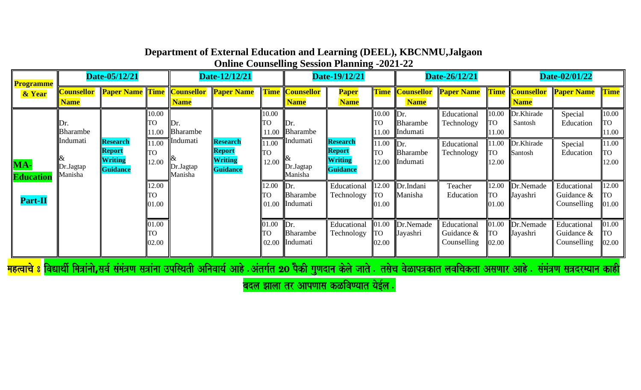| Programme<br>& Year                | Date-05/12/21                    |                                                  |                      | Date-12/12/21                     |                                                         |                             | Date-19/12/21                                                                   |                                                                            |                             | Date-26/12/21                           |                                          |                             | Date-02/01/22                         |                                            |                             |
|------------------------------------|----------------------------------|--------------------------------------------------|----------------------|-----------------------------------|---------------------------------------------------------|-----------------------------|---------------------------------------------------------------------------------|----------------------------------------------------------------------------|-----------------------------|-----------------------------------------|------------------------------------------|-----------------------------|---------------------------------------|--------------------------------------------|-----------------------------|
|                                    | <b>Counsellor</b><br><b>Name</b> |                                                  |                      | <b>Name</b>                       | <b>Paper Name Time Counsellor Paper Name</b>            |                             | <b>Time Counsellor</b><br><b>Name</b>                                           | <b>Paper</b><br><b>Name</b>                                                |                             | <b>Name</b>                             | <b>Time Counsellor Paper Name</b>        |                             | <b>Time</b> Counsellor<br><b>Name</b> | <b>Paper Name</b>                          | <b>Time</b>                 |
| MA-<br>Education<br><b>Part-II</b> | Dr.<br><b>Bharambe</b>           | <b>Research</b><br>Report<br>Writing<br>Guidance | 10.00<br>ГO<br>1.00  | ∥Dr.<br>Bharambe                  | <b>Research</b><br>Report<br><b>Writing</b><br>Guidance | 10.00<br><b>TO</b><br>11.00 | $\mathbb{D}$ r.<br><b>Bharambe</b><br><b>T</b> Indumati<br>Dr.Jagtap<br>Manisha | TO<br><b>Research</b><br>Report<br><b>TO</b><br><b>Writing</b><br>Guidance | 10.00<br>11.00              | $\mathbb{D}$ r.<br>Bharambe<br>Indumati | Educational<br>Technology                | 10.00<br><b>TO</b><br>11.00 | Dr.Khirade<br>Santosh                 | Special<br>Education                       | 10.00<br>TO<br>11.00        |
|                                    | Indumati<br>Dr.Jagtap<br>Manisha |                                                  | 1.00<br>TO<br>12.00  | ¶Indumati<br>Dr.Jagtap<br>Manisha |                                                         | 11.00<br><b>TO</b><br>12.00 |                                                                                 |                                                                            | 11.00<br>12.00              | $\mathbf{D}$ r.<br>Bharambe<br>Indumati | Educational<br>Technology                | 1.00<br><b>TO</b><br>12.00  | Dr.Khirade<br>Santosh                 | Special<br>Education                       | 11.00<br>TO<br>12.00        |
|                                    |                                  |                                                  | 12.00<br>TO<br>01.00 |                                   |                                                         | 12.00<br><b>TO</b>          | $\mathbb{D}$ r.<br>Bharambe<br>01.00 Indumati                                   | Educational<br>Technology                                                  | 12.00<br><b>TO</b><br>01.00 | Dr.Indani<br>Manisha                    | Teacher<br>Education                     | 12.00<br><b>TO</b><br>01.00 | Dr.Nemade<br>Jayashri                 | Educational<br>Guidance &<br>Counselling   | 12.00<br>TO<br>01.00        |
|                                    |                                  |                                                  | 01.00<br>TO<br>02.00 |                                   |                                                         | 01.00<br><b>ITO</b>         | $\mathbf{D}$ r.<br>Bharambe<br>02.00 Indumati                                   | Educational<br>Technology                                                  | 01.00<br><b>TO</b><br>02.00 | Dr.Nemade<br>Jayashri                   | Educational<br>Guidance &<br>Counselling | 01.00<br><b>TO</b><br>02.00 | Dr.Nemade<br>Jayashri                 | Educational<br>Guidance $&$<br>Counselling | 01.00<br><b>TO</b><br>02.00 |

<mark>महत्वाच 8 विद्यार्था मित्राना,सव समत्रण सत्राना उपास्थता आनवाय आह .अतम युणदान कल जात . तसच वळापत्रकात लवाचकता असणार आह . समत्रण सत्रदरम्यान काहा</mark>

<mark>बदल झाला तर आपणास कळविण्यात येईल .</mark>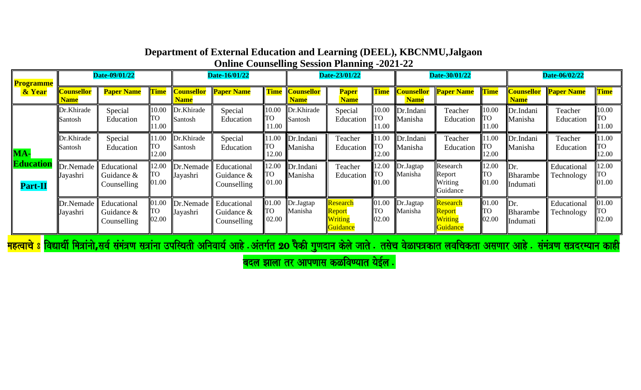| <b>Programme</b><br>& Year                                                                                                                                                                                   | Date-09/01/22             |                                                 |                             | Date-16/01/22                    |                                             |                             | Date-23/01/22                    |                                                  |                              | Date-30/01/22                    |                                                        |                             | Date-06/02/22                      |                           |                             |
|--------------------------------------------------------------------------------------------------------------------------------------------------------------------------------------------------------------|---------------------------|-------------------------------------------------|-----------------------------|----------------------------------|---------------------------------------------|-----------------------------|----------------------------------|--------------------------------------------------|------------------------------|----------------------------------|--------------------------------------------------------|-----------------------------|------------------------------------|---------------------------|-----------------------------|
|                                                                                                                                                                                                              | Counsellor<br><b>Name</b> | <b>Paper Name</b>                               | <b>Time</b>                 | <b>Counsellor</b><br><u>Name</u> | <b>Paper Name</b>                           | <b>Time</b>                 | <b>Counsellor</b><br><b>Name</b> | <b>Paper</b><br><b>Name</b>                      | <b>Time</b>                  | <b>Counsellor</b><br><b>Name</b> | <b>Paper Name</b>                                      | <b>Time</b>                 | <b>Counsellor</b><br><b>Name</b>   | <b>Paper Name</b>         | <b>Time</b>                 |
| $MA-$<br>Education<br><b>Part-II</b>                                                                                                                                                                         | Dr.Khirade<br>Santosh     | Special<br>Education                            | 10.00<br><b>TO</b><br>11.00 | Dr.Khirade<br>Santosh            | Special<br>Education                        | 10.00<br><b>TO</b><br>11.00 | Dr.Khirade<br>Santosh            | Special<br>Education                             | 10.00<br>TO<br>11.00         | Dr.Indani<br>Manisha             | Teacher<br>Education                                   | 10.00<br>TO<br>11.00        | Dr.Indani<br>Manisha               | Teacher<br>Education      | 10.00<br><b>TO</b><br>11.00 |
|                                                                                                                                                                                                              | Dr.Khirade<br>Santosh     | Special<br>Education                            | 11.00<br><b>TO</b><br>12.00 | Dr.Khirade<br>Santosh            | Special<br>Education                        | 11.00<br><b>TO</b><br>12.00 | Dr.Indani<br>Manisha             | Teacher<br>Education                             | 1.0<br><b>TO</b><br>12.00    | Dr.Indani<br>Manisha             | Teacher<br>Education                                   | 11.00<br>TO<br>12.00        | Dr.Indani<br>Manisha               | Teacher<br>Education      | 11.00<br><b>TO</b><br>12.00 |
|                                                                                                                                                                                                              | Dr.Nemade<br>Jayashri     | Educational<br>Guidance $\&$<br>Counselling     | 12.00<br><b>TO</b><br>01.00 | Dr.Nemade<br>Jayashri            | Educational<br>Guidance $\&$<br>Counselling | 12.00<br>TO<br>01.00        | Dr.Indani<br>Manisha             | Teacher<br>Education                             | 12.00<br>TО<br>01.00         | Dr.Jagtap<br>Manisha             | Research<br>Report<br>Writing<br>Guidance              | 12.00<br><b>TO</b><br>01.00 | Dr.<br>Bharambe<br>Indumati        | Educational<br>Technology | 12.00<br>TO<br>01.00        |
|                                                                                                                                                                                                              | Dr.Nemade<br>Jayashri     | Educational<br>Guidance &<br><b>Counselling</b> | 01.00<br><b>TO</b><br>02.00 | Dr.Nemade<br>Jayashri            | Educational<br>Guidance $\&$<br>Counselling | 01.00<br><b>TO</b><br>02.00 | Dr.Jagtap<br>Manisha             | <b>Research</b><br>Report<br>Writing<br>Guidance | 01.00<br><b>ITO</b><br>02.00 | Dr.Jagtap<br>Manisha             | Research<br><mark>Report</mark><br>Writing<br>Guidance | 01.00<br>TO<br>02.00        | Dr.<br><b>Bharambe</b><br>Indumati | Educational<br>Technology | 01.00<br>TO<br>02.00        |
| <mark>महत्वाचे 8 विद्यार्थी मित्रांनो,सर्व संमंत्रण सत्रांना उपस्थिती अनिवार्य आहे .अंतर्गत 20 पैकी गुणदान केले जाते . तसेच वेळापत्रकात लवचिकता असणार</mark><br>समत्रण सत्रदरम्यान काही<br>$\cdot$ आह $\,$ . |                           |                                                 |                             |                                  |                                             |                             |                                  |                                                  |                              |                                  |                                                        |                             |                                    |                           |                             |

बदल झाला तर आपणास कळविण्यात येईल $\ .$